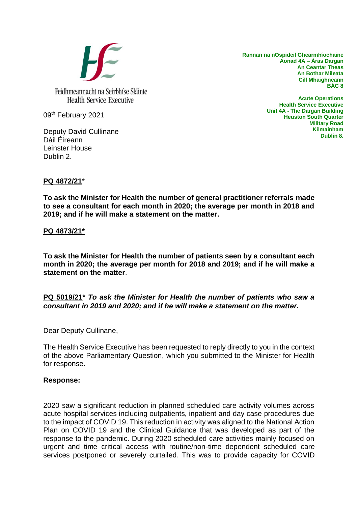

**Rannan na nOspideil Ghearmhíochaine Aonad 4A – Áras Dargan An Ceantar Theas An Bothar Mileata Cill Mhaighneann BÁC 8**

09th February 2021

Deputy David Cullinane Dáil Éireann Leinster House Dublin 2.

**Acute Operations Health Service Executive Unit 4A - The Dargan Building Heuston South Quarter Military Road Kilmainham Dublin 8.**

## **PQ 4872/21**\*

**To ask the Minister for Health the number of general practitioner referrals made to see a consultant for each month in 2020; the average per month in 2018 and 2019; and if he will make a statement on the matter.**

#### **PQ 4873/21\***

**To ask the Minister for Health the number of patients seen by a consultant each month in 2020; the average per month for 2018 and 2019; and if he will make a statement on the matter**.

## **PQ 5019/21\*** *To ask the Minister for Health the number of patients who saw a consultant in 2019 and 2020; and if he will make a statement on the matter.*

Dear Deputy Cullinane,

The Health Service Executive has been requested to reply directly to you in the context of the above Parliamentary Question, which you submitted to the Minister for Health for response.

#### **Response:**

2020 saw a significant reduction in planned scheduled care activity volumes across acute hospital services including outpatients, inpatient and day case procedures due to the impact of COVID 19. This reduction in activity was aligned to the National Action Plan on COVID 19 and the Clinical Guidance that was developed as part of the response to the pandemic. During 2020 scheduled care activities mainly focused on urgent and time critical access with routine/non-time dependent scheduled care services postponed or severely curtailed. This was to provide capacity for COVID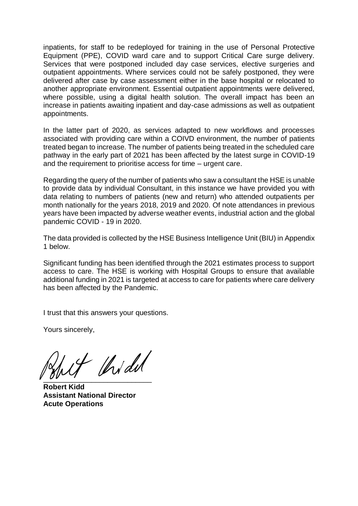inpatients, for staff to be redeployed for training in the use of Personal Protective Equipment (PPE), COVID ward care and to support Critical Care surge delivery. Services that were postponed included day case services, elective surgeries and outpatient appointments. Where services could not be safely postponed, they were delivered after case by case assessment either in the base hospital or relocated to another appropriate environment. Essential outpatient appointments were delivered, where possible, using a digital health solution. The overall impact has been an increase in patients awaiting inpatient and day-case admissions as well as outpatient appointments.

In the latter part of 2020, as services adapted to new workflows and processes associated with providing care within a COIVD environment, the number of patients treated began to increase. The number of patients being treated in the scheduled care pathway in the early part of 2021 has been affected by the latest surge in COVID-19 and the requirement to prioritise access for time – urgent care.

Regarding the query of the number of patients who saw a consultant the HSE is unable to provide data by individual Consultant, in this instance we have provided you with data relating to numbers of patients (new and return) who attended outpatients per month nationally for the years 2018, 2019 and 2020. Of note attendances in previous years have been impacted by adverse weather events, industrial action and the global pandemic COVID - 19 in 2020.

The data provided is collected by the HSE Business Intelligence Unit (BIU) in Appendix 1 below.

Significant funding has been identified through the 2021 estimates process to support access to care. The HSE is working with Hospital Groups to ensure that available additional funding in 2021 is targeted at access to care for patients where care delivery has been affected by the Pandemic.

I trust that this answers your questions.

Yours sincerely,

of thidul  $\overline{\phantom{a}}$ 

**Robert Kidd Assistant National Director Acute Operations**